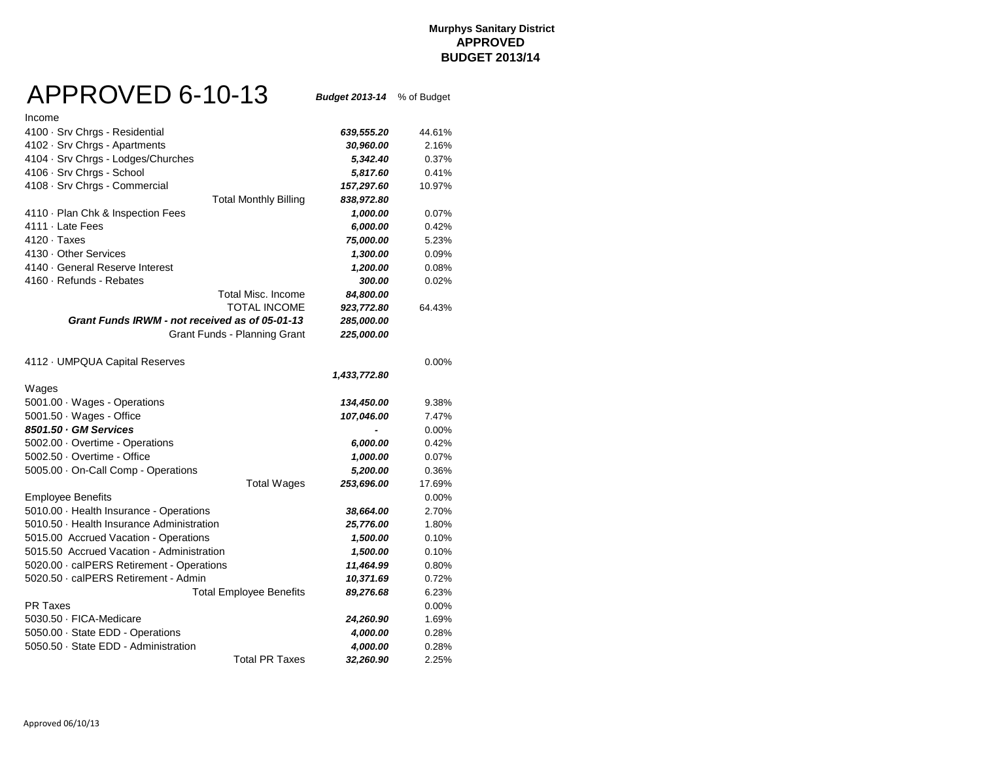#### **Murphys Sanitary District APPROVED BUDGET 2013/14**

## APPROVED 6-10-13 *Budget 2013-14* % of Budget

| Income                                         |              |          |
|------------------------------------------------|--------------|----------|
| 4100 · Srv Chrgs - Residential                 | 639,555.20   | 44.61%   |
| 4102 · Srv Chrgs - Apartments                  | 30,960.00    | 2.16%    |
| 4104 · Srv Chrgs - Lodges/Churches             | 5,342.40     | 0.37%    |
| 4106 · Srv Chrgs - School                      | 5,817.60     | 0.41%    |
| 4108 · Srv Chrgs - Commercial                  | 157,297.60   | 10.97%   |
| <b>Total Monthly Billing</b>                   | 838,972.80   |          |
| 4110 · Plan Chk & Inspection Fees              | 1,000.00     | 0.07%    |
| 4111 · Late Fees                               | 6,000.00     | 0.42%    |
| $4120 \cdot$ Taxes                             | 75,000.00    | 5.23%    |
| 4130 Other Services                            | 1,300.00     | 0.09%    |
| 4140 · General Reserve Interest                | 1,200.00     | 0.08%    |
| 4160 · Refunds - Rebates                       | 300.00       | 0.02%    |
| <b>Total Misc. Income</b>                      | 84,800.00    |          |
| <b>TOTAL INCOME</b>                            | 923,772.80   | 64.43%   |
| Grant Funds IRWM - not received as of 05-01-13 | 285,000.00   |          |
| Grant Funds - Planning Grant                   | 225,000.00   |          |
| 4112 · UMPQUA Capital Reserves                 |              | $0.00\%$ |
|                                                | 1,433,772.80 |          |
| Wages                                          |              |          |
| 5001.00 · Wages - Operations                   | 134,450.00   | 9.38%    |
| $5001.50 \cdot Wages - Office$                 | 107,046.00   | 7.47%    |
| 8501.50 GM Services                            |              | 0.00%    |
| 5002.00 · Overtime - Operations                | 6,000.00     | 0.42%    |
| 5002.50 · Overtime - Office                    | 1,000.00     | 0.07%    |
| 5005.00 On-Call Comp - Operations              | 5,200.00     | 0.36%    |
| <b>Total Wages</b>                             | 253,696.00   | 17.69%   |
| <b>Employee Benefits</b>                       |              | 0.00%    |
| 5010.00 · Health Insurance - Operations        | 38,664.00    | 2.70%    |
| 5010.50 · Health Insurance Administration      | 25,776.00    | 1.80%    |
| 5015.00 Accrued Vacation - Operations          | 1,500.00     | 0.10%    |
| 5015.50 Accrued Vacation - Administration      | 1,500.00     | 0.10%    |
| 5020.00 · calPERS Retirement - Operations      | 11,464.99    | 0.80%    |
| 5020.50 · calPERS Retirement - Admin           | 10,371.69    | 0.72%    |
| <b>Total Employee Benefits</b>                 | 89,276.68    | 6.23%    |
| <b>PR Taxes</b>                                |              | $0.00\%$ |
| 5030.50 · FICA-Medicare                        | 24,260.90    | 1.69%    |
| 5050.00 State EDD - Operations                 | 4,000.00     | 0.28%    |
| 5050.50 · State EDD - Administration           | 4,000.00     | 0.28%    |
| <b>Total PR Taxes</b>                          | 32,260.90    | 2.25%    |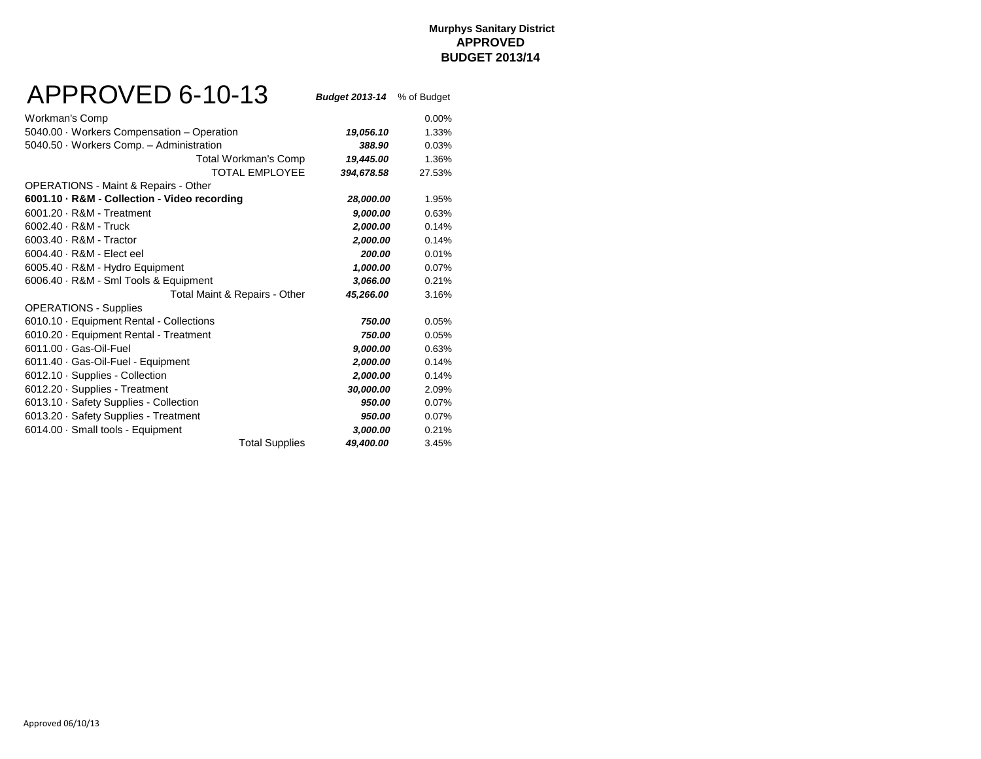## APPROVED 6-10-13 *Budget 2013-14* % of Budget

| Workman's Comp                                  |            | $0.00\%$ |
|-------------------------------------------------|------------|----------|
| 5040.00 · Workers Compensation - Operation      | 19,056.10  | 1.33%    |
| 5040.50 Workers Comp. - Administration          | 388.90     | 0.03%    |
| Total Workman's Comp                            | 19,445.00  | 1.36%    |
| <b>TOTAL EMPLOYEE</b>                           | 394,678.58 | 27.53%   |
| <b>OPERATIONS - Maint &amp; Repairs - Other</b> |            |          |
| 6001.10 · R&M - Collection - Video recording    | 28,000.00  | 1.95%    |
| 6001.20 · R&M - Treatment                       | 9,000.00   | 0.63%    |
| 6002.40 - R&M - Truck                           | 2,000.00   | 0.14%    |
| 6003.40 · R&M - Tractor                         | 2,000.00   | 0.14%    |
| 6004.40 · R&M - Elect eel                       | 200.00     | 0.01%    |
| 6005.40 · R&M - Hydro Equipment                 | 1,000.00   | 0.07%    |
| 6006.40 · R&M - Sml Tools & Equipment           | 3,066.00   | 0.21%    |
| Total Maint & Repairs - Other                   | 45,266.00  | 3.16%    |
| <b>OPERATIONS - Supplies</b>                    |            |          |
| 6010.10 · Equipment Rental - Collections        | 750.00     | 0.05%    |
| 6010.20 · Equipment Rental - Treatment          | 750.00     | 0.05%    |
| 6011.00 · Gas-Oil-Fuel                          | 9,000.00   | 0.63%    |
| 6011.40 Gas-Oil-Fuel - Equipment                | 2,000.00   | 0.14%    |
| 6012.10 · Supplies - Collection                 | 2,000.00   | 0.14%    |
| 6012.20 · Supplies - Treatment                  | 30,000.00  | 2.09%    |
| 6013.10 · Safety Supplies - Collection          | 950.00     | 0.07%    |
| 6013.20 · Safety Supplies - Treatment           | 950.00     | 0.07%    |
| 6014.00 · Small tools - Equipment               | 3,000.00   | 0.21%    |
| <b>Total Supplies</b>                           | 49,400.00  | 3.45%    |
|                                                 |            |          |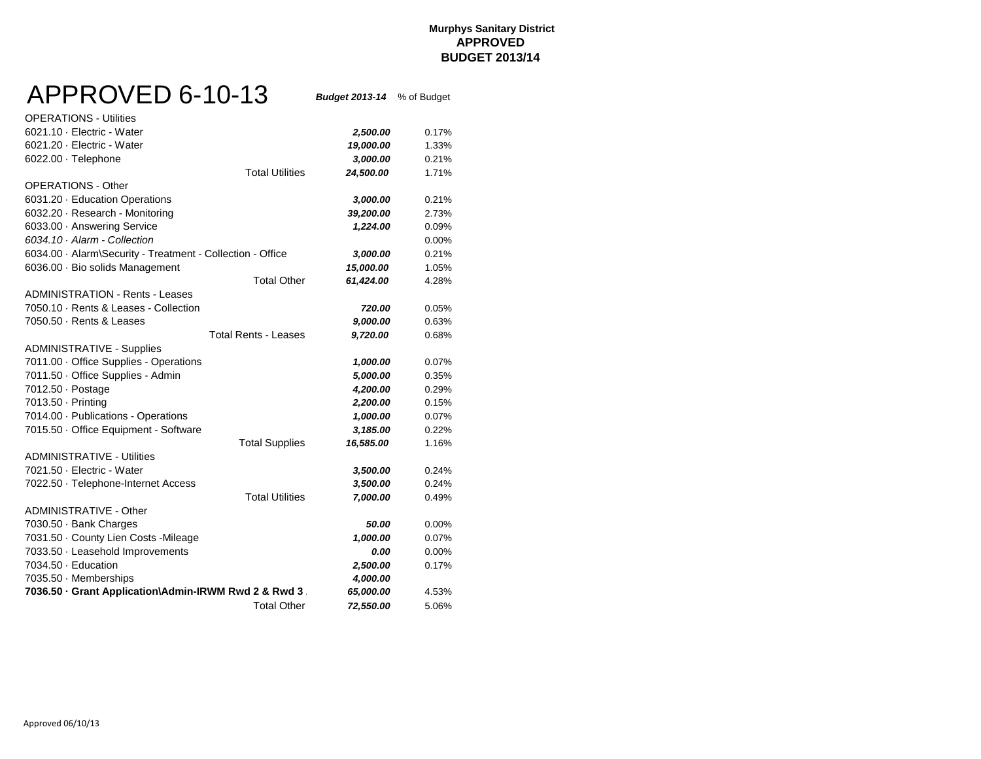### **Murphys Sanitary District APPROVED BUDGET 2013/14**

# APPROVED 6-10-13 *Budget 2013-14* % of Budget

| <b>OPERATIONS - Utilities</b>                              |           |       |
|------------------------------------------------------------|-----------|-------|
| 6021.10 · Electric - Water                                 | 2,500.00  | 0.17% |
| 6021.20 · Electric - Water                                 | 19,000.00 | 1.33% |
| 6022.00 · Telephone                                        | 3,000.00  | 0.21% |
| <b>Total Utilities</b>                                     | 24,500.00 | 1.71% |
| OPERATIONS - Other                                         |           |       |
| 6031.20 · Education Operations                             | 3,000.00  | 0.21% |
| 6032.20 · Research - Monitoring                            | 39,200.00 | 2.73% |
| 6033.00 - Answering Service                                | 1,224.00  | 0.09% |
| 6034.10 · Alarm - Collection                               |           | 0.00% |
| 6034.00 · Alarm\Security - Treatment - Collection - Office | 3,000.00  | 0.21% |
| 6036.00 · Bio solids Management                            | 15,000.00 | 1.05% |
| <b>Total Other</b>                                         | 61,424.00 | 4.28% |
| ADMINISTRATION - Rents - Leases                            |           |       |
| 7050.10 · Rents & Leases - Collection                      | 720.00    | 0.05% |
| 7050.50 · Rents & Leases                                   | 9,000.00  | 0.63% |
| <b>Total Rents - Leases</b>                                | 9,720.00  | 0.68% |
| <b>ADMINISTRATIVE - Supplies</b>                           |           |       |
| 7011.00 · Office Supplies - Operations                     | 1,000.00  | 0.07% |
| 7011.50 · Office Supplies - Admin                          | 5,000.00  | 0.35% |
| 7012.50 · Postage                                          | 4,200.00  | 0.29% |
| 7013.50 · Printing                                         | 2,200.00  | 0.15% |
| 7014.00 · Publications - Operations                        | 1,000.00  | 0.07% |
| 7015.50 Office Equipment - Software                        | 3,185.00  | 0.22% |
| <b>Total Supplies</b>                                      | 16,585.00 | 1.16% |
| <b>ADMINISTRATIVE - Utilities</b>                          |           |       |
| 7021.50 · Electric - Water                                 | 3,500.00  | 0.24% |
| 7022.50 · Telephone-Internet Access                        | 3,500.00  | 0.24% |
| <b>Total Utilities</b>                                     | 7,000.00  | 0.49% |
| <b>ADMINISTRATIVE - Other</b>                              |           |       |
| 7030.50 · Bank Charges                                     | 50.00     | 0.00% |
| 7031.50 · County Lien Costs -Mileage                       | 1,000.00  | 0.07% |
| 7033.50 · Leasehold Improvements                           | 0.00      | 0.00% |
| 7034.50 · Education                                        | 2,500.00  | 0.17% |
| 7035.50 Memberships                                        | 4,000.00  |       |
| 7036.50 Grant Application\Admin-IRWM Rwd 2 & Rwd 3.        | 65,000.00 | 4.53% |
| <b>Total Other</b>                                         | 72,550.00 | 5.06% |